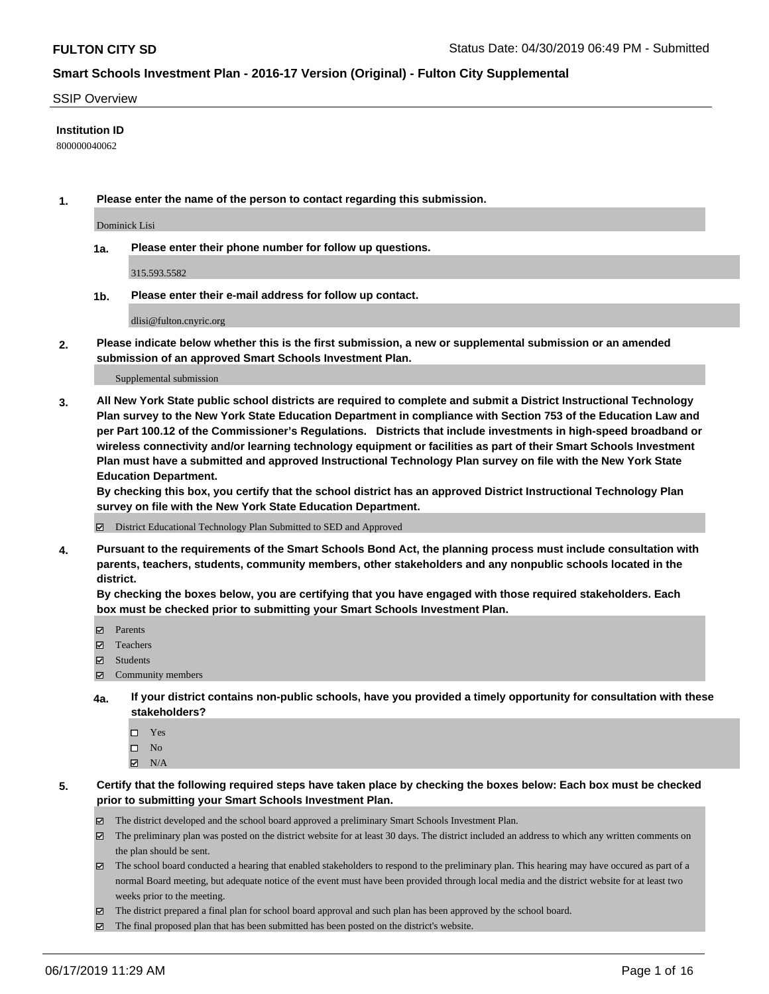#### SSIP Overview

### **Institution ID**

800000040062

**1. Please enter the name of the person to contact regarding this submission.**

Dominick Lisi

**1a. Please enter their phone number for follow up questions.**

315.593.5582

**1b. Please enter their e-mail address for follow up contact.**

dlisi@fulton.cnyric.org

**2. Please indicate below whether this is the first submission, a new or supplemental submission or an amended submission of an approved Smart Schools Investment Plan.**

#### Supplemental submission

**3. All New York State public school districts are required to complete and submit a District Instructional Technology Plan survey to the New York State Education Department in compliance with Section 753 of the Education Law and per Part 100.12 of the Commissioner's Regulations. Districts that include investments in high-speed broadband or wireless connectivity and/or learning technology equipment or facilities as part of their Smart Schools Investment Plan must have a submitted and approved Instructional Technology Plan survey on file with the New York State Education Department.** 

**By checking this box, you certify that the school district has an approved District Instructional Technology Plan survey on file with the New York State Education Department.**

District Educational Technology Plan Submitted to SED and Approved

**4. Pursuant to the requirements of the Smart Schools Bond Act, the planning process must include consultation with parents, teachers, students, community members, other stakeholders and any nonpublic schools located in the district.** 

**By checking the boxes below, you are certifying that you have engaged with those required stakeholders. Each box must be checked prior to submitting your Smart Schools Investment Plan.**

- Parents
- Teachers
- Students
- $\Xi$  Community members
- **4a. If your district contains non-public schools, have you provided a timely opportunity for consultation with these stakeholders?**
	- □ Yes
	- $\square$  No
	- $N/A$
- **5. Certify that the following required steps have taken place by checking the boxes below: Each box must be checked prior to submitting your Smart Schools Investment Plan.**
	- The district developed and the school board approved a preliminary Smart Schools Investment Plan.
	- $\boxtimes$  The preliminary plan was posted on the district website for at least 30 days. The district included an address to which any written comments on the plan should be sent.
	- $\boxtimes$  The school board conducted a hearing that enabled stakeholders to respond to the preliminary plan. This hearing may have occured as part of a normal Board meeting, but adequate notice of the event must have been provided through local media and the district website for at least two weeks prior to the meeting.
	- The district prepared a final plan for school board approval and such plan has been approved by the school board.
	- $\boxtimes$  The final proposed plan that has been submitted has been posted on the district's website.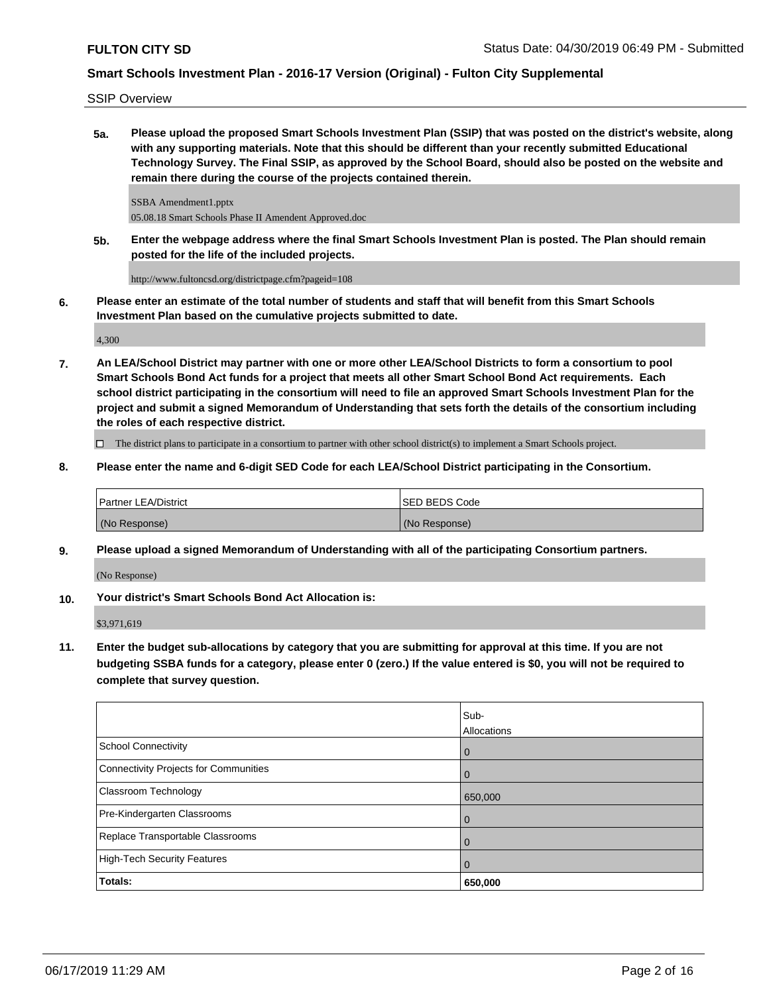SSIP Overview

**5a. Please upload the proposed Smart Schools Investment Plan (SSIP) that was posted on the district's website, along with any supporting materials. Note that this should be different than your recently submitted Educational Technology Survey. The Final SSIP, as approved by the School Board, should also be posted on the website and remain there during the course of the projects contained therein.**

SSBA Amendment1.pptx 05.08.18 Smart Schools Phase II Amendent Approved.doc

**5b. Enter the webpage address where the final Smart Schools Investment Plan is posted. The Plan should remain posted for the life of the included projects.**

http://www.fultoncsd.org/districtpage.cfm?pageid=108

**6. Please enter an estimate of the total number of students and staff that will benefit from this Smart Schools Investment Plan based on the cumulative projects submitted to date.**

4,300

**7. An LEA/School District may partner with one or more other LEA/School Districts to form a consortium to pool Smart Schools Bond Act funds for a project that meets all other Smart School Bond Act requirements. Each school district participating in the consortium will need to file an approved Smart Schools Investment Plan for the project and submit a signed Memorandum of Understanding that sets forth the details of the consortium including the roles of each respective district.**

 $\Box$  The district plans to participate in a consortium to partner with other school district(s) to implement a Smart Schools project.

**8. Please enter the name and 6-digit SED Code for each LEA/School District participating in the Consortium.**

| <b>Partner LEA/District</b> | ISED BEDS Code |
|-----------------------------|----------------|
| (No Response)               | (No Response)  |

**9. Please upload a signed Memorandum of Understanding with all of the participating Consortium partners.**

(No Response)

**10. Your district's Smart Schools Bond Act Allocation is:**

\$3,971,619

**11. Enter the budget sub-allocations by category that you are submitting for approval at this time. If you are not budgeting SSBA funds for a category, please enter 0 (zero.) If the value entered is \$0, you will not be required to complete that survey question.**

|                                              | Sub-<br>Allocations |
|----------------------------------------------|---------------------|
| <b>School Connectivity</b>                   | $\overline{0}$      |
| <b>Connectivity Projects for Communities</b> | 0                   |
| <b>Classroom Technology</b>                  | 650,000             |
| Pre-Kindergarten Classrooms                  | $\overline{0}$      |
| Replace Transportable Classrooms             | $\mathbf 0$         |
| <b>High-Tech Security Features</b>           | $\mathbf 0$         |
| Totals:                                      | 650,000             |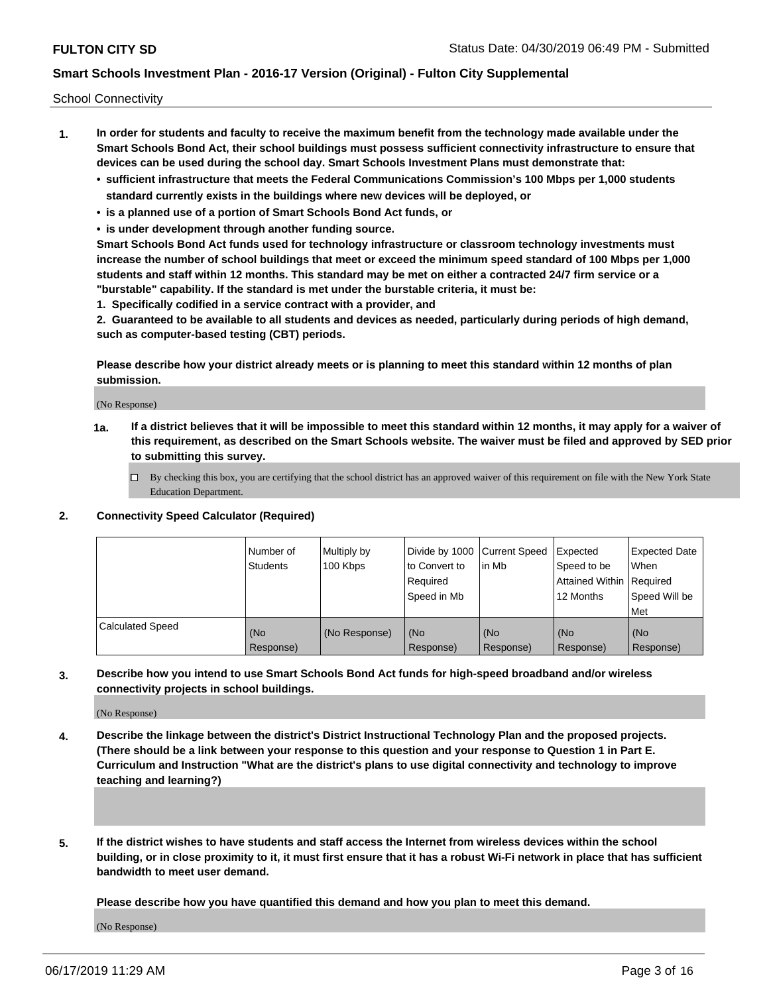School Connectivity

- **1. In order for students and faculty to receive the maximum benefit from the technology made available under the Smart Schools Bond Act, their school buildings must possess sufficient connectivity infrastructure to ensure that devices can be used during the school day. Smart Schools Investment Plans must demonstrate that:**
	- **• sufficient infrastructure that meets the Federal Communications Commission's 100 Mbps per 1,000 students standard currently exists in the buildings where new devices will be deployed, or**
	- **• is a planned use of a portion of Smart Schools Bond Act funds, or**
	- **• is under development through another funding source.**

**Smart Schools Bond Act funds used for technology infrastructure or classroom technology investments must increase the number of school buildings that meet or exceed the minimum speed standard of 100 Mbps per 1,000 students and staff within 12 months. This standard may be met on either a contracted 24/7 firm service or a "burstable" capability. If the standard is met under the burstable criteria, it must be:**

**1. Specifically codified in a service contract with a provider, and**

**2. Guaranteed to be available to all students and devices as needed, particularly during periods of high demand, such as computer-based testing (CBT) periods.**

**Please describe how your district already meets or is planning to meet this standard within 12 months of plan submission.**

(No Response)

**1a. If a district believes that it will be impossible to meet this standard within 12 months, it may apply for a waiver of this requirement, as described on the Smart Schools website. The waiver must be filed and approved by SED prior to submitting this survey.**

 $\Box$  By checking this box, you are certifying that the school district has an approved waiver of this requirement on file with the New York State Education Department.

### **2. Connectivity Speed Calculator (Required)**

|                         | Number of<br>Students | Multiply by<br>100 Kbps | Divide by 1000 Current Speed<br>to Convert to<br>Required<br>Speed in Mb | l in Mb          | Expected<br>Speed to be<br>Attained Within   Required<br>12 Months | <b>Expected Date</b><br>When<br>Speed Will be<br><b>Met</b> |
|-------------------------|-----------------------|-------------------------|--------------------------------------------------------------------------|------------------|--------------------------------------------------------------------|-------------------------------------------------------------|
| <b>Calculated Speed</b> | (No<br>Response)      | (No Response)           | (No<br>Response)                                                         | (No<br>Response) | (No<br>Response)                                                   | (No<br>Response)                                            |

**3. Describe how you intend to use Smart Schools Bond Act funds for high-speed broadband and/or wireless connectivity projects in school buildings.**

(No Response)

- **4. Describe the linkage between the district's District Instructional Technology Plan and the proposed projects. (There should be a link between your response to this question and your response to Question 1 in Part E. Curriculum and Instruction "What are the district's plans to use digital connectivity and technology to improve teaching and learning?)**
- **5. If the district wishes to have students and staff access the Internet from wireless devices within the school building, or in close proximity to it, it must first ensure that it has a robust Wi-Fi network in place that has sufficient bandwidth to meet user demand.**

**Please describe how you have quantified this demand and how you plan to meet this demand.**

(No Response)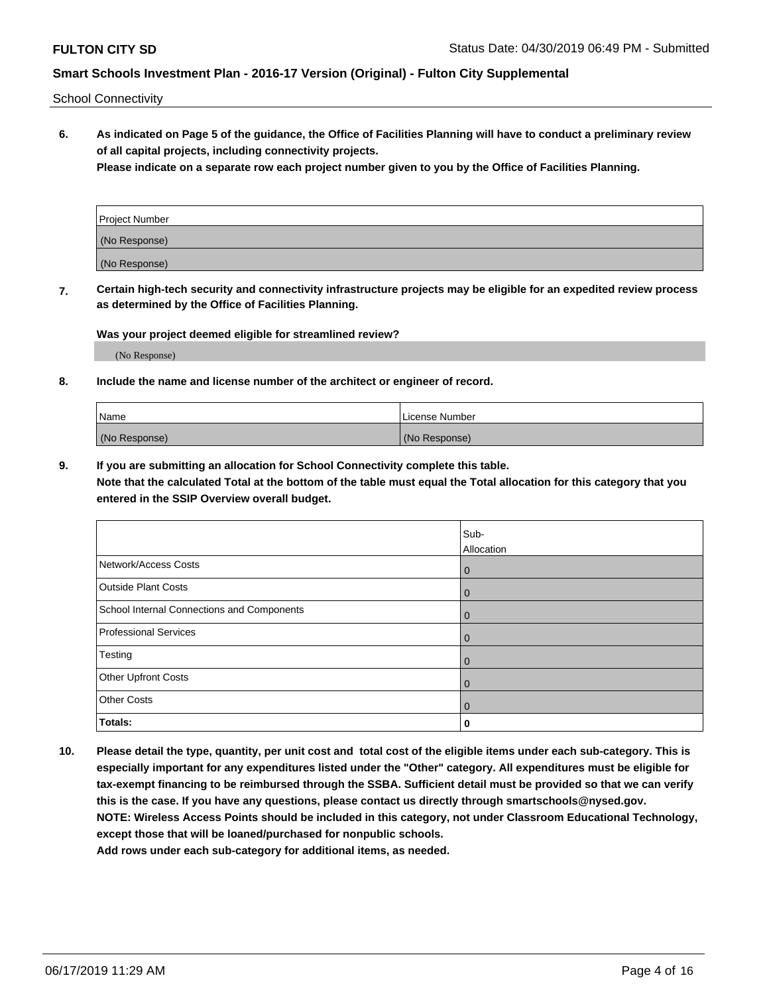School Connectivity

**6. As indicated on Page 5 of the guidance, the Office of Facilities Planning will have to conduct a preliminary review of all capital projects, including connectivity projects.**

**Please indicate on a separate row each project number given to you by the Office of Facilities Planning.**

| <b>Project Number</b> |  |
|-----------------------|--|
| (No Response)         |  |
| (No Response)         |  |

**7. Certain high-tech security and connectivity infrastructure projects may be eligible for an expedited review process as determined by the Office of Facilities Planning.**

**Was your project deemed eligible for streamlined review?**

(No Response)

**8. Include the name and license number of the architect or engineer of record.**

| Name          | License Number |
|---------------|----------------|
| (No Response) | (No Response)  |

**9. If you are submitting an allocation for School Connectivity complete this table.**

**Note that the calculated Total at the bottom of the table must equal the Total allocation for this category that you entered in the SSIP Overview overall budget.** 

|                                            | Sub-<br>Allocation |
|--------------------------------------------|--------------------|
| Network/Access Costs                       | $\mathbf 0$        |
| <b>Outside Plant Costs</b>                 | $\mathbf 0$        |
| School Internal Connections and Components | $\mathbf 0$        |
| <b>Professional Services</b>               | $\mathbf 0$        |
| Testing                                    | $\mathbf 0$        |
| Other Upfront Costs                        | $\mathbf 0$        |
| <b>Other Costs</b>                         | $\Omega$           |
| Totals:                                    | 0                  |

**10. Please detail the type, quantity, per unit cost and total cost of the eligible items under each sub-category. This is especially important for any expenditures listed under the "Other" category. All expenditures must be eligible for tax-exempt financing to be reimbursed through the SSBA. Sufficient detail must be provided so that we can verify this is the case. If you have any questions, please contact us directly through smartschools@nysed.gov. NOTE: Wireless Access Points should be included in this category, not under Classroom Educational Technology, except those that will be loaned/purchased for nonpublic schools.**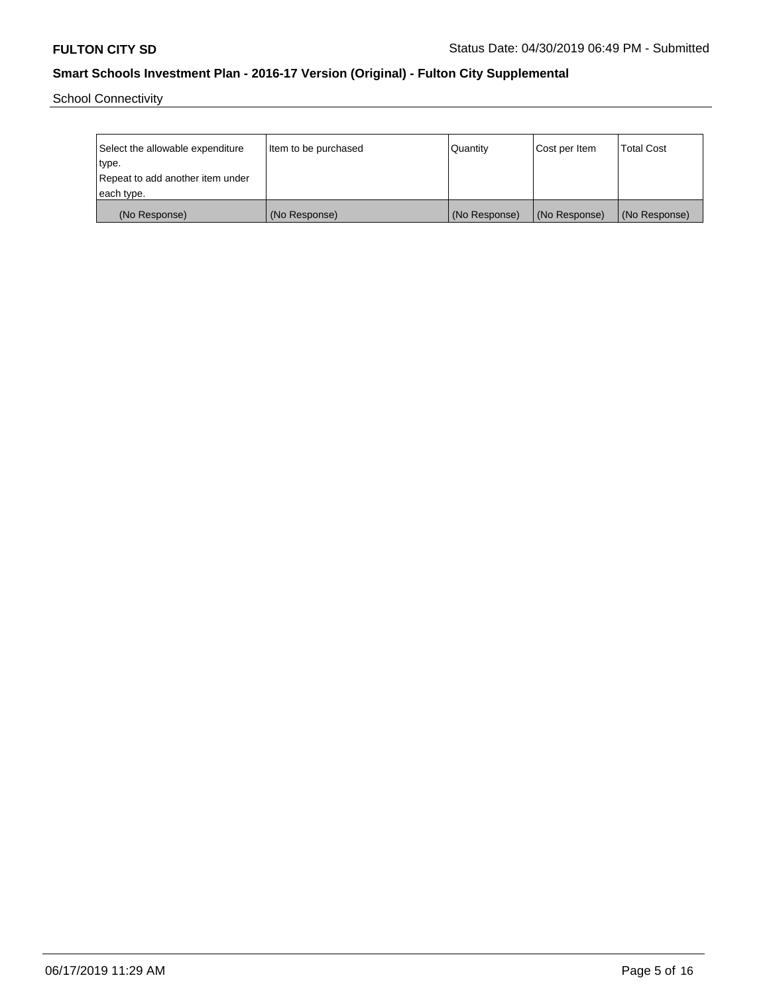School Connectivity

| Select the allowable expenditure | Item to be purchased | Quantity      | Cost per Item | <b>Total Cost</b> |
|----------------------------------|----------------------|---------------|---------------|-------------------|
| type.                            |                      |               |               |                   |
| Repeat to add another item under |                      |               |               |                   |
| each type.                       |                      |               |               |                   |
| (No Response)                    | (No Response)        | (No Response) | (No Response) | (No Response)     |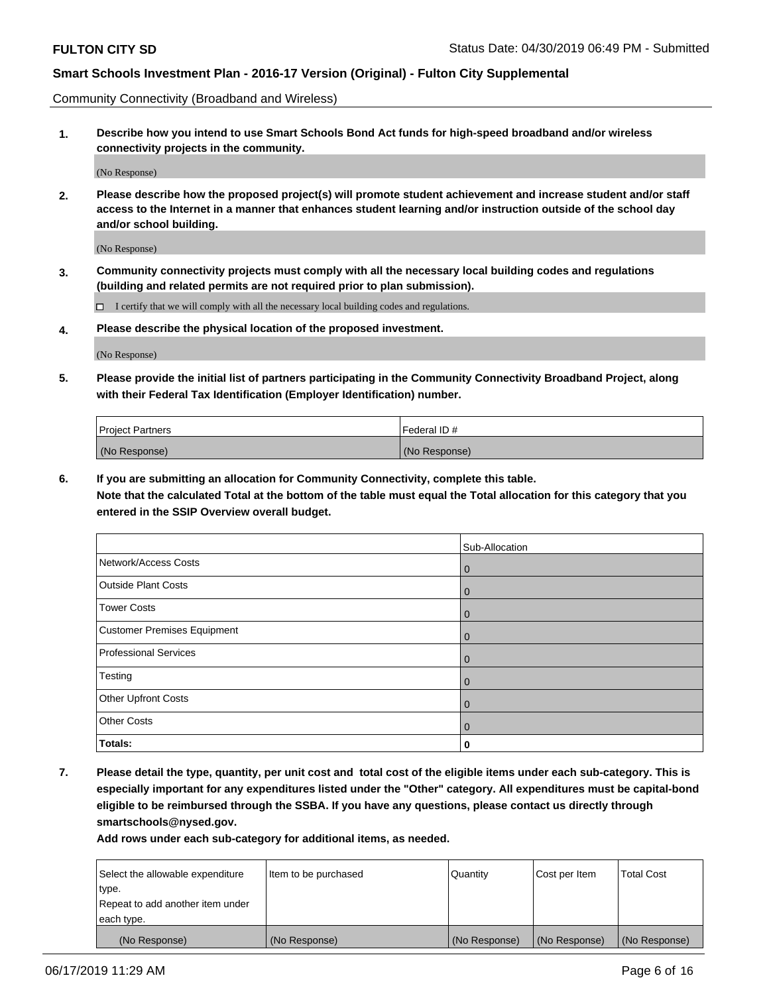Community Connectivity (Broadband and Wireless)

**1. Describe how you intend to use Smart Schools Bond Act funds for high-speed broadband and/or wireless connectivity projects in the community.**

(No Response)

**2. Please describe how the proposed project(s) will promote student achievement and increase student and/or staff access to the Internet in a manner that enhances student learning and/or instruction outside of the school day and/or school building.**

(No Response)

**3. Community connectivity projects must comply with all the necessary local building codes and regulations (building and related permits are not required prior to plan submission).**

 $\Box$  I certify that we will comply with all the necessary local building codes and regulations.

**4. Please describe the physical location of the proposed investment.**

(No Response)

**5. Please provide the initial list of partners participating in the Community Connectivity Broadband Project, along with their Federal Tax Identification (Employer Identification) number.**

| <b>Project Partners</b> | Federal ID#   |
|-------------------------|---------------|
| (No Response)           | (No Response) |

**6. If you are submitting an allocation for Community Connectivity, complete this table.**

**Note that the calculated Total at the bottom of the table must equal the Total allocation for this category that you entered in the SSIP Overview overall budget.**

|                             | Sub-Allocation |
|-----------------------------|----------------|
| Network/Access Costs        | $\mathbf{0}$   |
| <b>Outside Plant Costs</b>  | $\overline{0}$ |
| <b>Tower Costs</b>          | $\mathbf{0}$   |
| Customer Premises Equipment | $\Omega$       |
| Professional Services       | $\mathbf{0}$   |
| Testing                     | $\Omega$       |
| <b>Other Upfront Costs</b>  | $\Omega$       |
| <b>Other Costs</b>          | $\Omega$       |
| Totals:                     | 0              |

**7. Please detail the type, quantity, per unit cost and total cost of the eligible items under each sub-category. This is especially important for any expenditures listed under the "Other" category. All expenditures must be capital-bond eligible to be reimbursed through the SSBA. If you have any questions, please contact us directly through smartschools@nysed.gov.**

| Select the allowable expenditure | Item to be purchased | Quantity      | Cost per Item | <b>Total Cost</b> |
|----------------------------------|----------------------|---------------|---------------|-------------------|
| type.                            |                      |               |               |                   |
| Repeat to add another item under |                      |               |               |                   |
| each type.                       |                      |               |               |                   |
| (No Response)                    | (No Response)        | (No Response) | (No Response) | (No Response)     |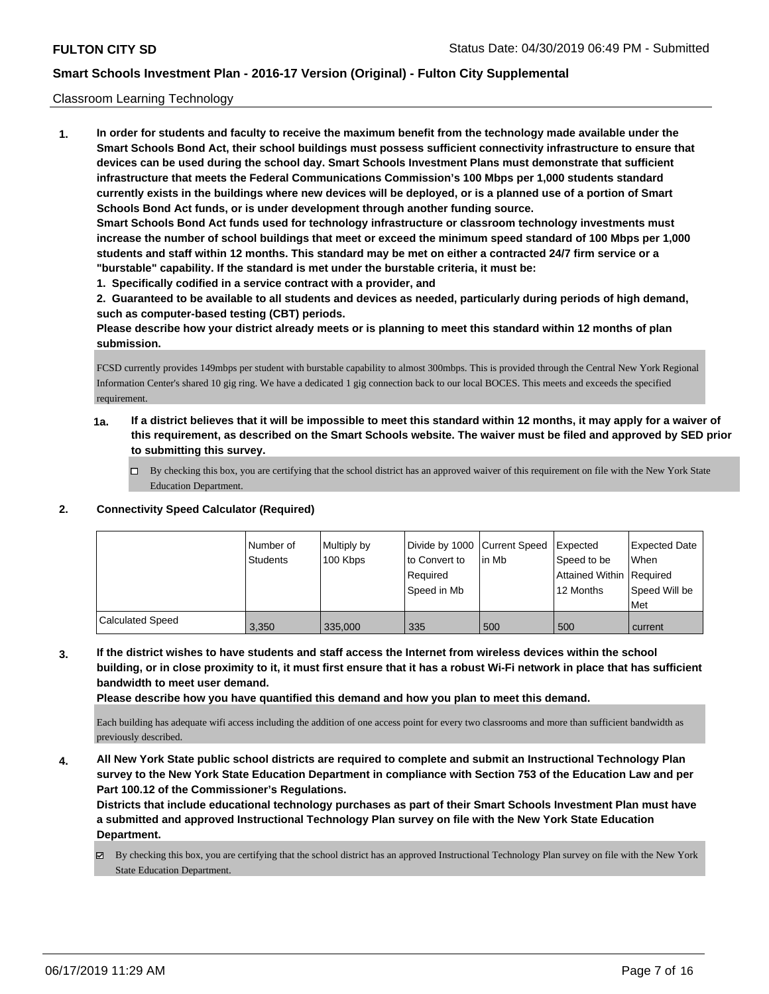### Classroom Learning Technology

**1. In order for students and faculty to receive the maximum benefit from the technology made available under the Smart Schools Bond Act, their school buildings must possess sufficient connectivity infrastructure to ensure that devices can be used during the school day. Smart Schools Investment Plans must demonstrate that sufficient infrastructure that meets the Federal Communications Commission's 100 Mbps per 1,000 students standard currently exists in the buildings where new devices will be deployed, or is a planned use of a portion of Smart Schools Bond Act funds, or is under development through another funding source. Smart Schools Bond Act funds used for technology infrastructure or classroom technology investments must increase the number of school buildings that meet or exceed the minimum speed standard of 100 Mbps per 1,000 students and staff within 12 months. This standard may be met on either a contracted 24/7 firm service or a "burstable" capability. If the standard is met under the burstable criteria, it must be:**

**1. Specifically codified in a service contract with a provider, and**

**2. Guaranteed to be available to all students and devices as needed, particularly during periods of high demand, such as computer-based testing (CBT) periods.**

**Please describe how your district already meets or is planning to meet this standard within 12 months of plan submission.**

FCSD currently provides 149mbps per student with burstable capability to almost 300mbps. This is provided through the Central New York Regional Information Center's shared 10 gig ring. We have a dedicated 1 gig connection back to our local BOCES. This meets and exceeds the specified requirement.

- **1a. If a district believes that it will be impossible to meet this standard within 12 months, it may apply for a waiver of this requirement, as described on the Smart Schools website. The waiver must be filed and approved by SED prior to submitting this survey.**
	- By checking this box, you are certifying that the school district has an approved waiver of this requirement on file with the New York State Education Department.

#### **2. Connectivity Speed Calculator (Required)**

|                         | l Number of<br>Students | Multiply by<br>100 Kbps | Divide by 1000 Current Speed<br>to Convert to<br>Required<br>Speed in Mb | in Mb | <b>Expected</b><br>Speed to be<br>Attained Within Required<br>12 Months | <b>Expected Date</b><br><b>When</b><br>Speed Will be<br>Met |
|-------------------------|-------------------------|-------------------------|--------------------------------------------------------------------------|-------|-------------------------------------------------------------------------|-------------------------------------------------------------|
| <b>Calculated Speed</b> | 3.350                   | 335.000                 | 335                                                                      | 500   | 500                                                                     | current                                                     |

**3. If the district wishes to have students and staff access the Internet from wireless devices within the school building, or in close proximity to it, it must first ensure that it has a robust Wi-Fi network in place that has sufficient bandwidth to meet user demand.**

**Please describe how you have quantified this demand and how you plan to meet this demand.**

Each building has adequate wifi access including the addition of one access point for every two classrooms and more than sufficient bandwidth as previously described.

**4. All New York State public school districts are required to complete and submit an Instructional Technology Plan survey to the New York State Education Department in compliance with Section 753 of the Education Law and per Part 100.12 of the Commissioner's Regulations.**

**Districts that include educational technology purchases as part of their Smart Schools Investment Plan must have a submitted and approved Instructional Technology Plan survey on file with the New York State Education Department.**

By checking this box, you are certifying that the school district has an approved Instructional Technology Plan survey on file with the New York State Education Department.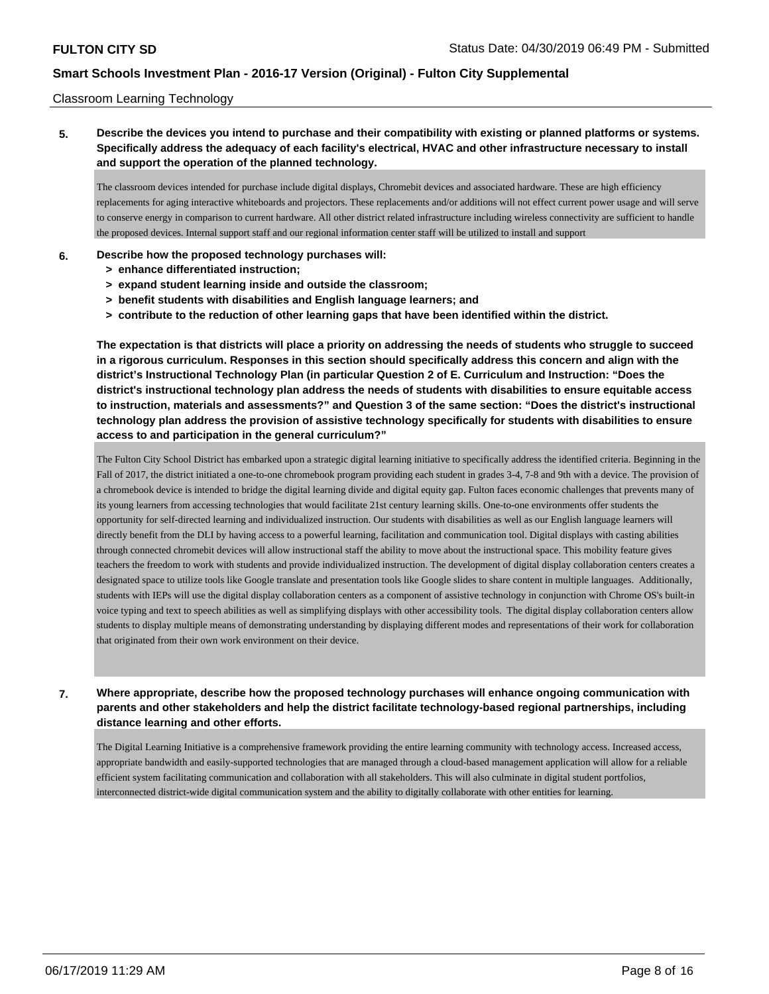### Classroom Learning Technology

### **5. Describe the devices you intend to purchase and their compatibility with existing or planned platforms or systems. Specifically address the adequacy of each facility's electrical, HVAC and other infrastructure necessary to install and support the operation of the planned technology.**

The classroom devices intended for purchase include digital displays, Chromebit devices and associated hardware. These are high efficiency replacements for aging interactive whiteboards and projectors. These replacements and/or additions will not effect current power usage and will serve to conserve energy in comparison to current hardware. All other district related infrastructure including wireless connectivity are sufficient to handle the proposed devices. Internal support staff and our regional information center staff will be utilized to install and support

### **6. Describe how the proposed technology purchases will:**

- **> enhance differentiated instruction;**
- **> expand student learning inside and outside the classroom;**
- **> benefit students with disabilities and English language learners; and**
- **> contribute to the reduction of other learning gaps that have been identified within the district.**

**The expectation is that districts will place a priority on addressing the needs of students who struggle to succeed in a rigorous curriculum. Responses in this section should specifically address this concern and align with the district's Instructional Technology Plan (in particular Question 2 of E. Curriculum and Instruction: "Does the district's instructional technology plan address the needs of students with disabilities to ensure equitable access to instruction, materials and assessments?" and Question 3 of the same section: "Does the district's instructional technology plan address the provision of assistive technology specifically for students with disabilities to ensure access to and participation in the general curriculum?"**

The Fulton City School District has embarked upon a strategic digital learning initiative to specifically address the identified criteria. Beginning in the Fall of 2017, the district initiated a one-to-one chromebook program providing each student in grades 3-4, 7-8 and 9th with a device. The provision of a chromebook device is intended to bridge the digital learning divide and digital equity gap. Fulton faces economic challenges that prevents many of its young learners from accessing technologies that would facilitate 21st century learning skills. One-to-one environments offer students the opportunity for self-directed learning and individualized instruction. Our students with disabilities as well as our English language learners will directly benefit from the DLI by having access to a powerful learning, facilitation and communication tool. Digital displays with casting abilities through connected chromebit devices will allow instructional staff the ability to move about the instructional space. This mobility feature gives teachers the freedom to work with students and provide individualized instruction. The development of digital display collaboration centers creates a designated space to utilize tools like Google translate and presentation tools like Google slides to share content in multiple languages. Additionally, students with IEPs will use the digital display collaboration centers as a component of assistive technology in conjunction with Chrome OS's built-in voice typing and text to speech abilities as well as simplifying displays with other accessibility tools. The digital display collaboration centers allow students to display multiple means of demonstrating understanding by displaying different modes and representations of their work for collaboration that originated from their own work environment on their device.

**7. Where appropriate, describe how the proposed technology purchases will enhance ongoing communication with parents and other stakeholders and help the district facilitate technology-based regional partnerships, including distance learning and other efforts.**

The Digital Learning Initiative is a comprehensive framework providing the entire learning community with technology access. Increased access, appropriate bandwidth and easily-supported technologies that are managed through a cloud-based management application will allow for a reliable efficient system facilitating communication and collaboration with all stakeholders. This will also culminate in digital student portfolios, interconnected district-wide digital communication system and the ability to digitally collaborate with other entities for learning.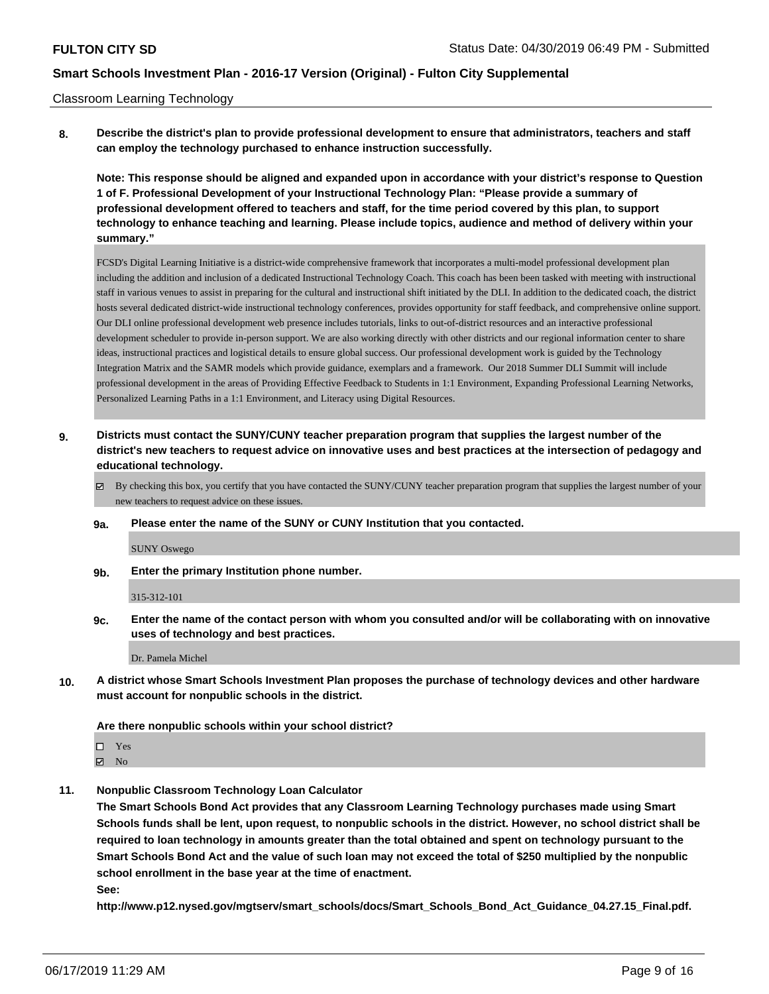#### Classroom Learning Technology

**8. Describe the district's plan to provide professional development to ensure that administrators, teachers and staff can employ the technology purchased to enhance instruction successfully.**

**Note: This response should be aligned and expanded upon in accordance with your district's response to Question 1 of F. Professional Development of your Instructional Technology Plan: "Please provide a summary of professional development offered to teachers and staff, for the time period covered by this plan, to support technology to enhance teaching and learning. Please include topics, audience and method of delivery within your summary."**

FCSD's Digital Learning Initiative is a district-wide comprehensive framework that incorporates a multi-model professional development plan including the addition and inclusion of a dedicated Instructional Technology Coach. This coach has been been tasked with meeting with instructional staff in various venues to assist in preparing for the cultural and instructional shift initiated by the DLI. In addition to the dedicated coach, the district hosts several dedicated district-wide instructional technology conferences, provides opportunity for staff feedback, and comprehensive online support. Our DLI online professional development web presence includes tutorials, links to out-of-district resources and an interactive professional development scheduler to provide in-person support. We are also working directly with other districts and our regional information center to share ideas, instructional practices and logistical details to ensure global success. Our professional development work is guided by the Technology Integration Matrix and the SAMR models which provide guidance, exemplars and a framework. Our 2018 Summer DLI Summit will include professional development in the areas of Providing Effective Feedback to Students in 1:1 Environment, Expanding Professional Learning Networks, Personalized Learning Paths in a 1:1 Environment, and Literacy using Digital Resources.

- **9. Districts must contact the SUNY/CUNY teacher preparation program that supplies the largest number of the district's new teachers to request advice on innovative uses and best practices at the intersection of pedagogy and educational technology.**
	- By checking this box, you certify that you have contacted the SUNY/CUNY teacher preparation program that supplies the largest number of your new teachers to request advice on these issues.
	- **9a. Please enter the name of the SUNY or CUNY Institution that you contacted.**

SUNY Oswego

**9b. Enter the primary Institution phone number.**

315-312-101

**9c. Enter the name of the contact person with whom you consulted and/or will be collaborating with on innovative uses of technology and best practices.**

Dr. Pamela Michel

**10. A district whose Smart Schools Investment Plan proposes the purchase of technology devices and other hardware must account for nonpublic schools in the district.**

#### **Are there nonpublic schools within your school district?**

□ Yes

 $\boxtimes$  No

**11. Nonpublic Classroom Technology Loan Calculator**

**The Smart Schools Bond Act provides that any Classroom Learning Technology purchases made using Smart Schools funds shall be lent, upon request, to nonpublic schools in the district. However, no school district shall be required to loan technology in amounts greater than the total obtained and spent on technology pursuant to the Smart Schools Bond Act and the value of such loan may not exceed the total of \$250 multiplied by the nonpublic school enrollment in the base year at the time of enactment. See:**

**http://www.p12.nysed.gov/mgtserv/smart\_schools/docs/Smart\_Schools\_Bond\_Act\_Guidance\_04.27.15\_Final.pdf.**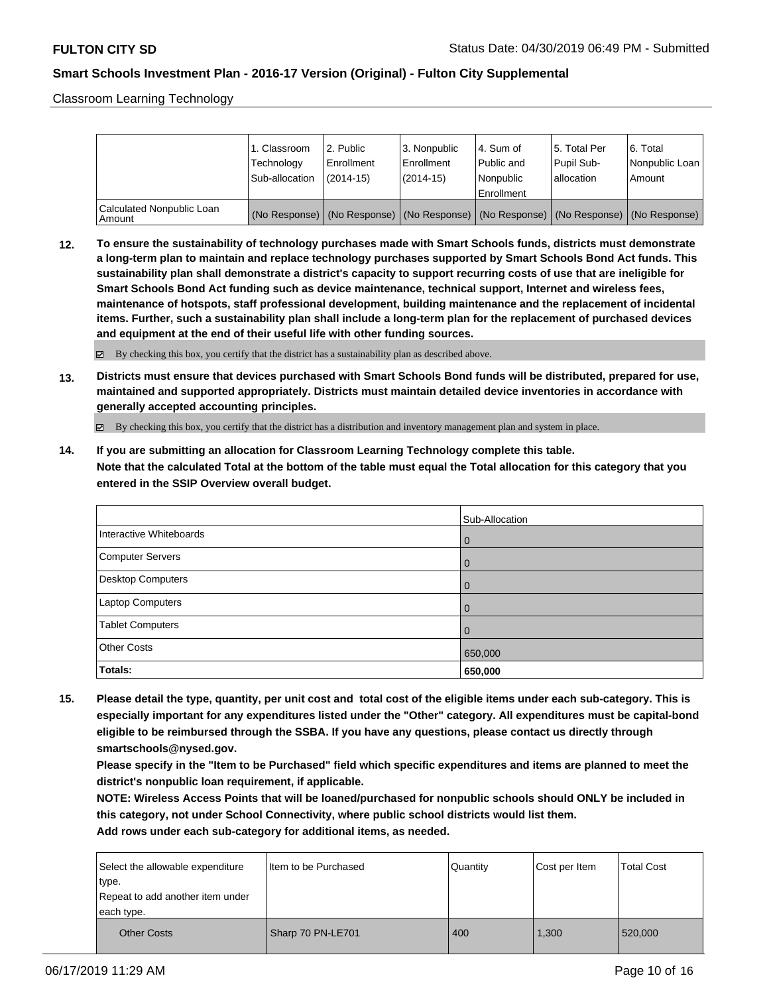Classroom Learning Technology

|                                     | 1. Classroom<br>Technology<br>Sub-allocation | l 2. Public<br>Enrollment<br>$(2014 - 15)$ | 3. Nonpublic<br>Enrollment<br>$(2014-15)$ | l 4. Sum of<br>Public and<br>l Nonpublic                                                      | 15. Total Per<br>Pupil Sub-<br>lallocation | 6. Total<br>Nonpublic Loan  <br>Amount |
|-------------------------------------|----------------------------------------------|--------------------------------------------|-------------------------------------------|-----------------------------------------------------------------------------------------------|--------------------------------------------|----------------------------------------|
|                                     |                                              |                                            |                                           | Enrollment                                                                                    |                                            |                                        |
| Calculated Nonpublic Loan<br>Amount |                                              |                                            |                                           | (No Response)   (No Response)   (No Response)   (No Response)   (No Response)   (No Response) |                                            |                                        |

**12. To ensure the sustainability of technology purchases made with Smart Schools funds, districts must demonstrate a long-term plan to maintain and replace technology purchases supported by Smart Schools Bond Act funds. This sustainability plan shall demonstrate a district's capacity to support recurring costs of use that are ineligible for Smart Schools Bond Act funding such as device maintenance, technical support, Internet and wireless fees, maintenance of hotspots, staff professional development, building maintenance and the replacement of incidental items. Further, such a sustainability plan shall include a long-term plan for the replacement of purchased devices and equipment at the end of their useful life with other funding sources.**

 $\boxtimes$  By checking this box, you certify that the district has a sustainability plan as described above.

**13. Districts must ensure that devices purchased with Smart Schools Bond funds will be distributed, prepared for use, maintained and supported appropriately. Districts must maintain detailed device inventories in accordance with generally accepted accounting principles.**

By checking this box, you certify that the district has a distribution and inventory management plan and system in place.

**14. If you are submitting an allocation for Classroom Learning Technology complete this table. Note that the calculated Total at the bottom of the table must equal the Total allocation for this category that you entered in the SSIP Overview overall budget.**

|                          | Sub-Allocation |
|--------------------------|----------------|
| Interactive Whiteboards  | l 0            |
| Computer Servers         | l 0            |
| <b>Desktop Computers</b> | l O            |
| Laptop Computers         | l O            |
| <b>Tablet Computers</b>  | l 0            |
| <b>Other Costs</b>       | 650,000        |
| Totals:                  | 650,000        |

**15. Please detail the type, quantity, per unit cost and total cost of the eligible items under each sub-category. This is especially important for any expenditures listed under the "Other" category. All expenditures must be capital-bond eligible to be reimbursed through the SSBA. If you have any questions, please contact us directly through smartschools@nysed.gov.**

**Please specify in the "Item to be Purchased" field which specific expenditures and items are planned to meet the district's nonpublic loan requirement, if applicable.**

**NOTE: Wireless Access Points that will be loaned/purchased for nonpublic schools should ONLY be included in this category, not under School Connectivity, where public school districts would list them.**

| Select the allowable expenditure | Item to be Purchased | Quantity | Cost per Item | <b>Total Cost</b> |
|----------------------------------|----------------------|----------|---------------|-------------------|
| ∣type.                           |                      |          |               |                   |
| Repeat to add another item under |                      |          |               |                   |
| each type.                       |                      |          |               |                   |
| <b>Other Costs</b>               | Sharp 70 PN-LE701    | 400      | 1,300         | 520,000           |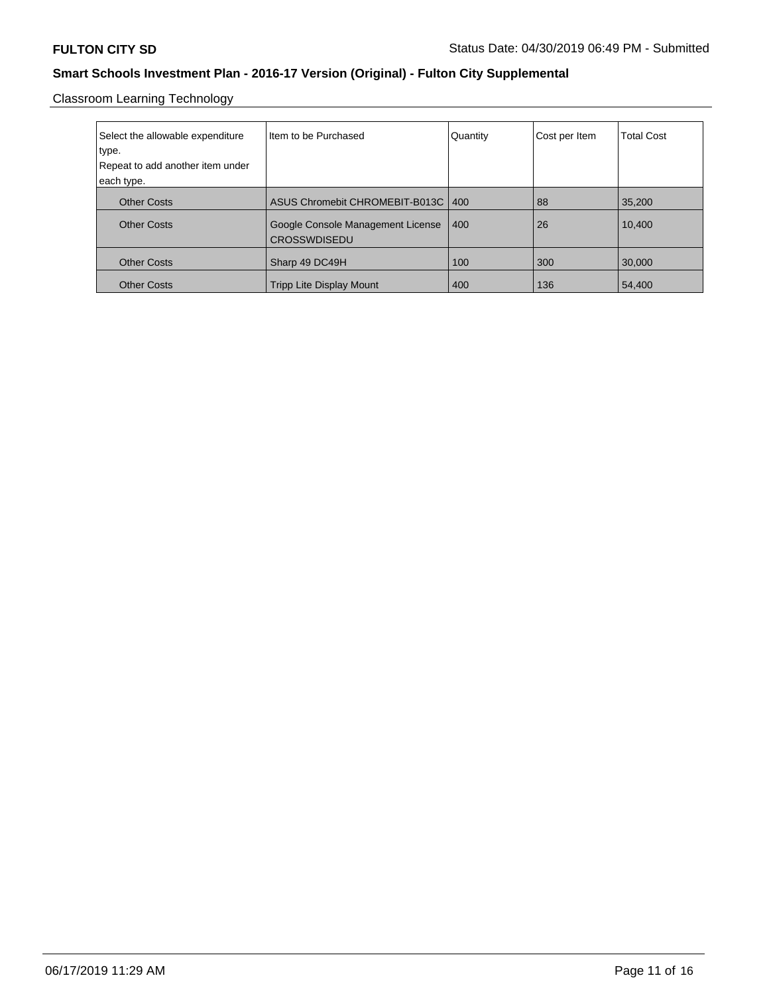Classroom Learning Technology

| Select the allowable expenditure<br>type.<br>Repeat to add another item under<br>each type. | Iltem to be Purchased                                    | Quantity | Cost per Item | <b>Total Cost</b> |
|---------------------------------------------------------------------------------------------|----------------------------------------------------------|----------|---------------|-------------------|
|                                                                                             |                                                          |          |               |                   |
| <b>Other Costs</b>                                                                          | ASUS Chromebit CHROMEBIT-B013C   400                     |          | 88            | 35.200            |
| <b>Other Costs</b>                                                                          | Google Console Management License<br><b>CROSSWDISEDU</b> | 400      | 26            | 10,400            |
| <b>Other Costs</b>                                                                          | Sharp 49 DC49H                                           | 100      | 300           | 30,000            |
| <b>Other Costs</b>                                                                          | <b>Tripp Lite Display Mount</b>                          | 400      | 136           | 54,400            |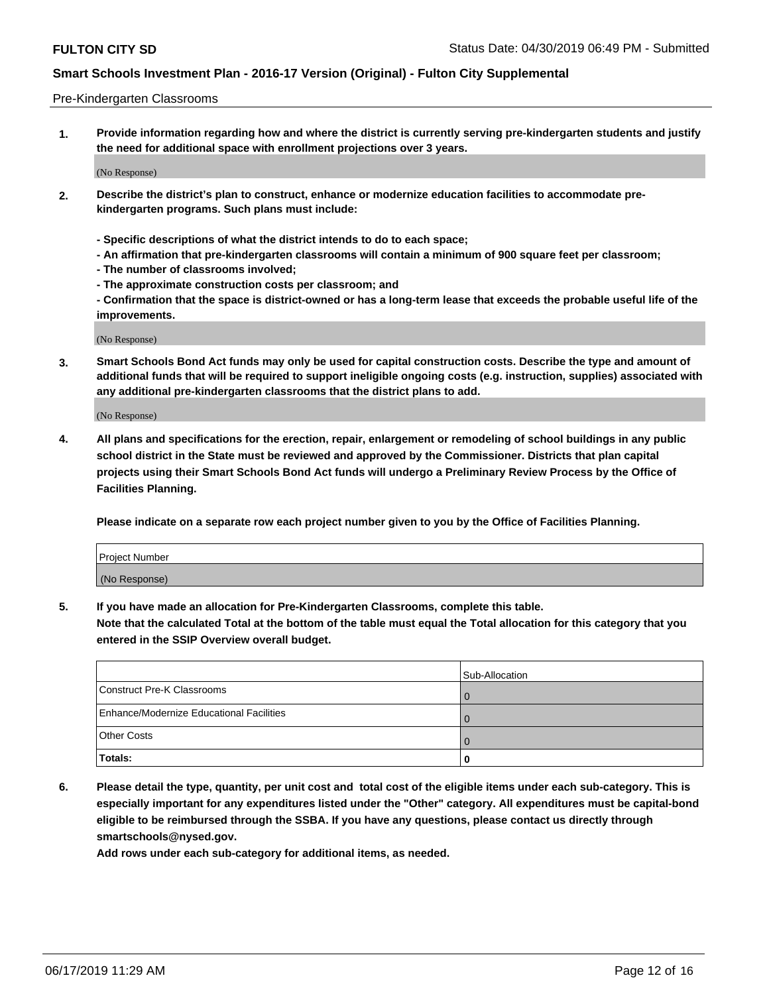#### Pre-Kindergarten Classrooms

**1. Provide information regarding how and where the district is currently serving pre-kindergarten students and justify the need for additional space with enrollment projections over 3 years.**

(No Response)

- **2. Describe the district's plan to construct, enhance or modernize education facilities to accommodate prekindergarten programs. Such plans must include:**
	- **Specific descriptions of what the district intends to do to each space;**
	- **An affirmation that pre-kindergarten classrooms will contain a minimum of 900 square feet per classroom;**
	- **The number of classrooms involved;**
	- **The approximate construction costs per classroom; and**
	- **Confirmation that the space is district-owned or has a long-term lease that exceeds the probable useful life of the improvements.**

(No Response)

**3. Smart Schools Bond Act funds may only be used for capital construction costs. Describe the type and amount of additional funds that will be required to support ineligible ongoing costs (e.g. instruction, supplies) associated with any additional pre-kindergarten classrooms that the district plans to add.**

(No Response)

**4. All plans and specifications for the erection, repair, enlargement or remodeling of school buildings in any public school district in the State must be reviewed and approved by the Commissioner. Districts that plan capital projects using their Smart Schools Bond Act funds will undergo a Preliminary Review Process by the Office of Facilities Planning.**

**Please indicate on a separate row each project number given to you by the Office of Facilities Planning.**

| Project Number |  |
|----------------|--|
| (No Response)  |  |
|                |  |

**5. If you have made an allocation for Pre-Kindergarten Classrooms, complete this table.**

**Note that the calculated Total at the bottom of the table must equal the Total allocation for this category that you entered in the SSIP Overview overall budget.**

|                                          | Sub-Allocation |
|------------------------------------------|----------------|
| Construct Pre-K Classrooms               |                |
| Enhance/Modernize Educational Facilities |                |
| <b>Other Costs</b>                       |                |
| <b>Totals:</b>                           | U              |

**6. Please detail the type, quantity, per unit cost and total cost of the eligible items under each sub-category. This is especially important for any expenditures listed under the "Other" category. All expenditures must be capital-bond eligible to be reimbursed through the SSBA. If you have any questions, please contact us directly through smartschools@nysed.gov.**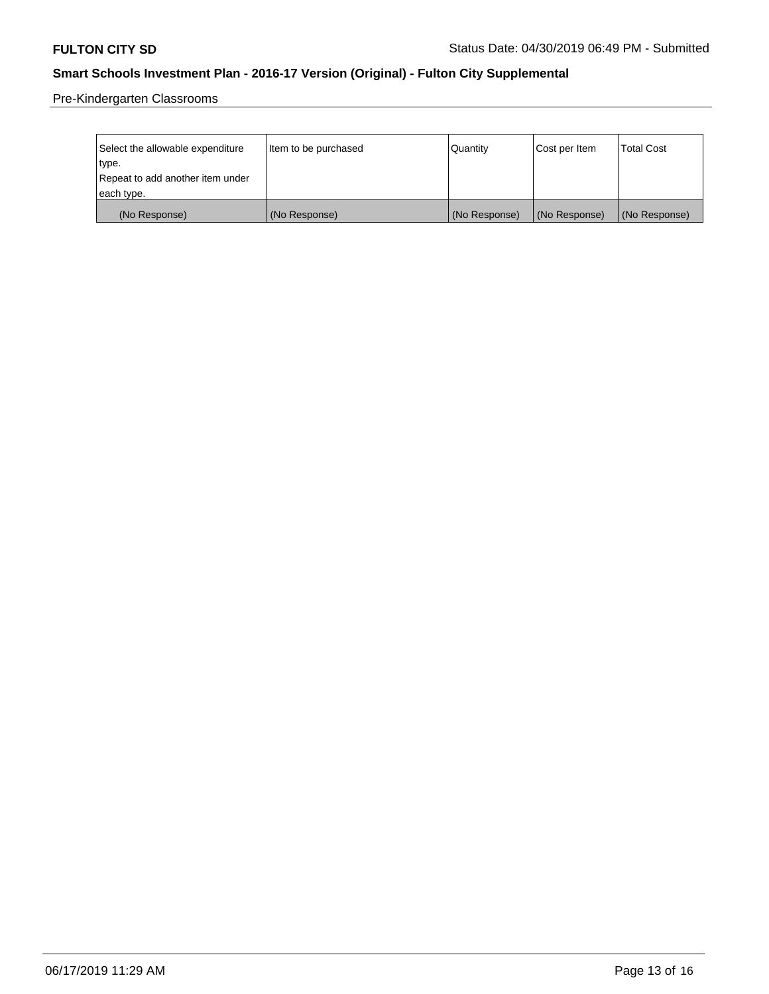Pre-Kindergarten Classrooms

| Select the allowable expenditure | Item to be purchased | Quantity      | Cost per Item | <b>Total Cost</b> |
|----------------------------------|----------------------|---------------|---------------|-------------------|
| type.                            |                      |               |               |                   |
| Repeat to add another item under |                      |               |               |                   |
| each type.                       |                      |               |               |                   |
| (No Response)                    | (No Response)        | (No Response) | (No Response) | (No Response)     |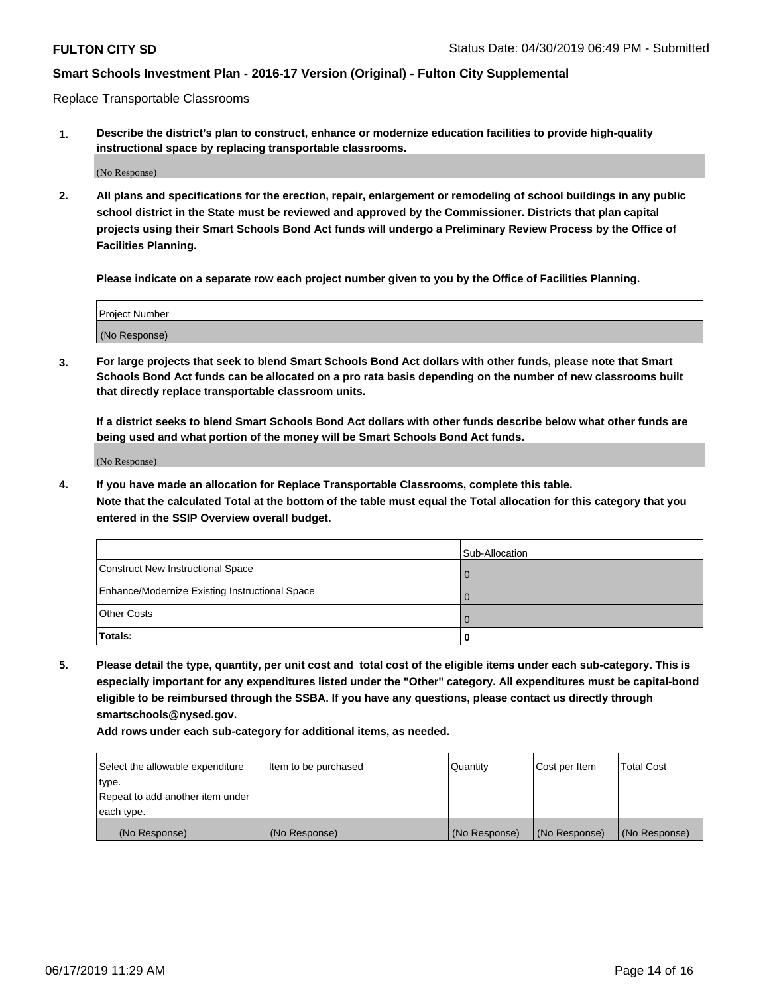Replace Transportable Classrooms

**1. Describe the district's plan to construct, enhance or modernize education facilities to provide high-quality instructional space by replacing transportable classrooms.**

(No Response)

**2. All plans and specifications for the erection, repair, enlargement or remodeling of school buildings in any public school district in the State must be reviewed and approved by the Commissioner. Districts that plan capital projects using their Smart Schools Bond Act funds will undergo a Preliminary Review Process by the Office of Facilities Planning.**

**Please indicate on a separate row each project number given to you by the Office of Facilities Planning.**

| Project Number |  |
|----------------|--|
|                |  |
| (No Response)  |  |

**3. For large projects that seek to blend Smart Schools Bond Act dollars with other funds, please note that Smart Schools Bond Act funds can be allocated on a pro rata basis depending on the number of new classrooms built that directly replace transportable classroom units.**

**If a district seeks to blend Smart Schools Bond Act dollars with other funds describe below what other funds are being used and what portion of the money will be Smart Schools Bond Act funds.**

(No Response)

**4. If you have made an allocation for Replace Transportable Classrooms, complete this table. Note that the calculated Total at the bottom of the table must equal the Total allocation for this category that you entered in the SSIP Overview overall budget.**

|                                                | Sub-Allocation |
|------------------------------------------------|----------------|
| Construct New Instructional Space              |                |
| Enhance/Modernize Existing Instructional Space |                |
| <b>Other Costs</b>                             |                |
| Totals:                                        | o              |

**5. Please detail the type, quantity, per unit cost and total cost of the eligible items under each sub-category. This is especially important for any expenditures listed under the "Other" category. All expenditures must be capital-bond eligible to be reimbursed through the SSBA. If you have any questions, please contact us directly through smartschools@nysed.gov.**

| Select the allowable expenditure | Item to be purchased | Quantity      | Cost per Item | Total Cost    |
|----------------------------------|----------------------|---------------|---------------|---------------|
| type.                            |                      |               |               |               |
| Repeat to add another item under |                      |               |               |               |
| each type.                       |                      |               |               |               |
| (No Response)                    | (No Response)        | (No Response) | (No Response) | (No Response) |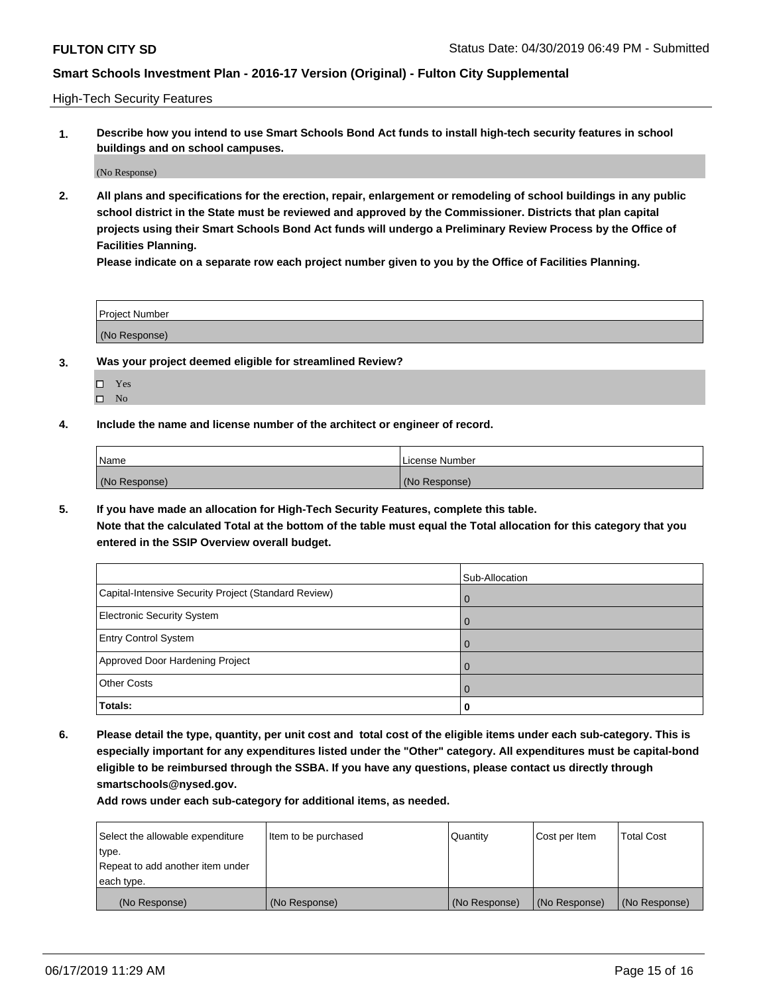High-Tech Security Features

**1. Describe how you intend to use Smart Schools Bond Act funds to install high-tech security features in school buildings and on school campuses.**

(No Response)

**2. All plans and specifications for the erection, repair, enlargement or remodeling of school buildings in any public school district in the State must be reviewed and approved by the Commissioner. Districts that plan capital projects using their Smart Schools Bond Act funds will undergo a Preliminary Review Process by the Office of Facilities Planning.** 

**Please indicate on a separate row each project number given to you by the Office of Facilities Planning.**

| <b>Project Number</b> |  |
|-----------------------|--|
| (No Response)         |  |

- **3. Was your project deemed eligible for streamlined Review?**
	- Yes
	- $\square$  No
- **4. Include the name and license number of the architect or engineer of record.**

| <b>Name</b>   | License Number |
|---------------|----------------|
| (No Response) | (No Response)  |

**5. If you have made an allocation for High-Tech Security Features, complete this table.**

**Note that the calculated Total at the bottom of the table must equal the Total allocation for this category that you entered in the SSIP Overview overall budget.**

|                                                      | Sub-Allocation |
|------------------------------------------------------|----------------|
| Capital-Intensive Security Project (Standard Review) | $\mathbf 0$    |
| <b>Electronic Security System</b>                    | $\Omega$       |
| <b>Entry Control System</b>                          |                |
| Approved Door Hardening Project                      | $\Omega$       |
| <b>Other Costs</b>                                   |                |
| Totals:                                              | 0              |

**6. Please detail the type, quantity, per unit cost and total cost of the eligible items under each sub-category. This is especially important for any expenditures listed under the "Other" category. All expenditures must be capital-bond eligible to be reimbursed through the SSBA. If you have any questions, please contact us directly through smartschools@nysed.gov.**

| Select the allowable expenditure | Item to be purchased | Quantity      | Cost per Item | <b>Total Cost</b> |
|----------------------------------|----------------------|---------------|---------------|-------------------|
| type.                            |                      |               |               |                   |
| Repeat to add another item under |                      |               |               |                   |
| each type.                       |                      |               |               |                   |
| (No Response)                    | (No Response)        | (No Response) | (No Response) | (No Response)     |